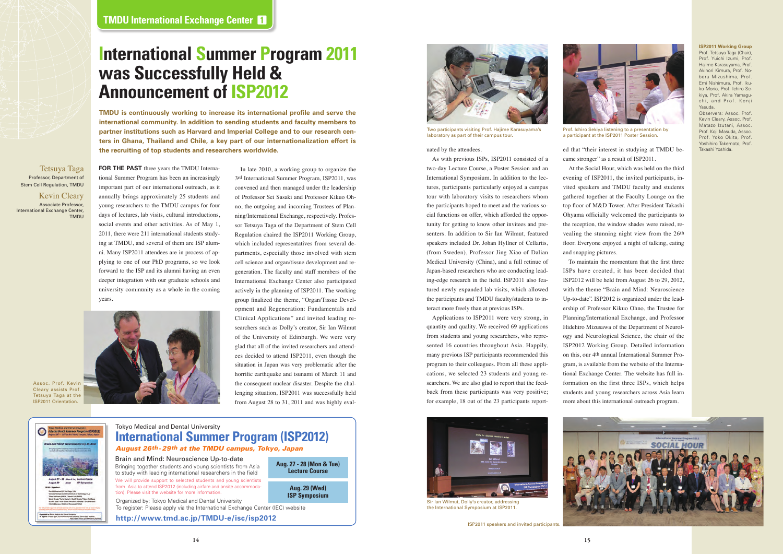uated by the attendees.

As with previous ISPs, ISP2011 consisted of a two-day Lecture Course, a Poster Session and an International Symposium. In addition to the lectures, participants particularly enjoyed a campus tour with laboratory visits to researchers whom the participants hoped to meet and the various social functions on offer, which afforded the opportunity for getting to know other invitees and presenters. In addition to Sir Ian Wilmut, featured speakers included Dr. Johan Hyllner of Cellartis, (from Sweden), Professor Jing Xiao of Dalian Medical University (China), and a full retinue of Japan-based researchers who are conducting leading-edge research in the field. ISP2011 also featured newly expanded lab visits, which allowed the participants and TMDU faculty/students to interact more freely than at previous ISPs.

Applications to ISP2011 were very strong, in quantity and quality. We received 69 applications from students and young researchers, who represented 16 countries throughout Asia. Happily, many previous ISP participants recommended this program to their colleagues. From all these applications, we selected 23 students and young researchers. We are also glad to report that the feedback from these participants was very positive; for example, 18 out of the 23 participants report-

**ISP2011 Working Group** Prof. Tetsuya Taga (Chair), Prof. Yuichi Izumi, Prof. Hajime Karasuyama, Prof. Akinori Kimura, Prof. Noboru Mizushima, Prof. Emi Nishimura, Prof. Ikuko Morio, Prof. Ichiro Sekiya, Prof. Akira Yamaguchi, and Prof. Kenji Yasuda.

Observers: Assoc. Prof. Kevin Cleary, Assoc. Prof. Matazo Izutani, Assoc. Prof. Koji Masuda, Assoc. Prof. Yoko Okita, Prof. Yoshihiro Takemoto, Prof.



ed that "their interest in studying at TMDU be- Takashi Yoshida. came stronger" as a result of ISP2011.

At the Social Hour, which was held on the third evening of ISP2011, the invited participants, invited speakers and TMDU faculty and students gathered together at the Faculty Lounge on the top floor of M&D Tower. After President Takashi Ohyama officially welcomed the participants to the reception, the window shades were raised, revealing the stunning night view from the 26th floor. Everyone enjoyed a night of talking, eating and snapping pictures.

To maintain the momentum that the first three ISPs have created, it has been decided that ISP2012 will be held from August 26 to 29, 2012, with the theme "Brain and Mind: Neuroscience Up-to-date". ISP2012 is organized under the leadership of Professor Kikuo Ohno, the Trustee for Planning/International Exchange, and Professor Hidehiro Mizusawa of the Department of Neurology and Neurological Science, the chair of the ISP2012 Working Group. Detailed information on this, our 4th annual International Summer Program, is available from the website of the International Exchange Center. The website has full information on the first three ISPs, which helps students and young researchers across Asia learn more about this international outreach program.





Two participants visiting Prof. Hajime Karasuyama's laboratory as part of their campus tour.



Sir Ian Wilmut, Dolly's creator, addressing the International Symposium at ISP2011.



Prof. Ichiro Sekiya listening to a presentation by a participant at the ISP2011 Poster Session.

**FOR THE PAST** three years the TMDU International Summer Program has been an increasingly important part of our international outreach, as it annually brings approximately 25 students and young researchers to the TMDU campus for four days of lectures, lab visits, cultural introductions, social events and other activities. As of May 1, 2011, there were 211 international students studying at TMDU, and several of them are ISP alumni. Many ISP2011 attendees are in process of applying to one of our PhD programs, so we look forward to the ISP and its alumni having an even deeper integration with our graduate schools and university community as a whole in the coming years.



# **International Summer Program 2011 was Successfully Held & Announcement of ISP2012**

Tetsuya Taga Professor, Department of Stem Cell Regulation, TMDU

Kevin Cleary Associate Professor, International Exchange Center, TMDU



Brain and Mind: Neuroscience Up-to-date Bringing together students and young scientists from Asia to study with leading international researchers in the field We will provide support to selected students and young scientists from Asia to attend ISP2012 (including airfare and onsite accommodation). Please visit the website for more information. Organized by: Tokyo Medical and Dental University

**Aug. 27 - 28 (Mon & Tue) Lecture Course**

> **Aug. 29 (Wed) ISP Symposium**

**http://www.tmd.ac.jp/TMDU-e/isc/isp2012**

To register: Please apply via the International Exchange Center (IEC) website

Assoc. Prof. Kevin Cleary assists Prof. Tetsuya Taga at the ISP2011 Orientation.

nte

**TMDU is continuously working to increase its international profile and serve the international community. In addition to sending students and faculty members to partner institutions such as Harvard and Imperial College and to our research centers in Ghana, Thailand and Chile, a key part of our internationalization effort is the recruiting of top students and researchers worldwide.** 

> In late 2010, a working group to organize the 3rd International Summer Program, ISP2011, was convened and then managed under the leadership of Professor Sei Sasaki and Professor Kikuo Ohno, the outgoing and incoming Trustees of Planning/International Exchange, respectively. Professor Tetsuya Taga of the Department of Stem Cell Regulation chaired the ISP2011 Working Group, which included representatives from several departments, especially those involved with stem cell science and organ/tissue development and regeneration. The faculty and staff members of the International Exchange Center also participated actively in the planning of ISP2011. The working group finalized the theme, "Organ/Tissue Development and Regeneration: Fundamentals and Clinical Applications" and invited leading researchers such as Dolly's creator, Sir Ian Wilmut of the University of Edinburgh. We were very glad that all of the invited researchers and attendees decided to attend ISP2011, even though the situation in Japan was very problematic after the horrific earthquake and tsunami of March 11 and the consequent nuclear disaster. Despite the challenging situation, ISP2011 was successfully held from August 28 to 31, 2011 and was highly eval